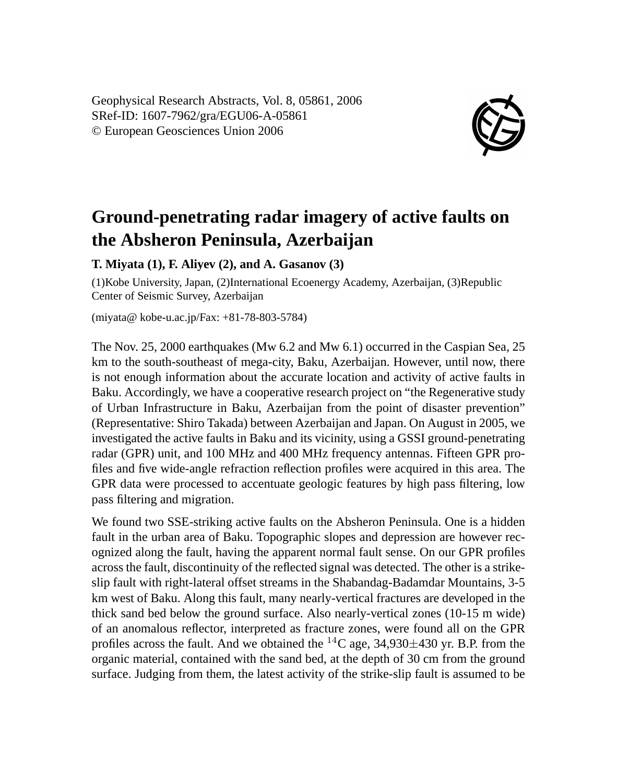Geophysical Research Abstracts, Vol. 8, 05861, 2006 SRef-ID: 1607-7962/gra/EGU06-A-05861 © European Geosciences Union 2006



## **Ground-penetrating radar imagery of active faults on the Absheron Peninsula, Azerbaijan**

## **T. Miyata (1), F. Aliyev (2), and A. Gasanov (3)**

(1)Kobe University, Japan, (2)International Ecoenergy Academy, Azerbaijan, (3)Republic Center of Seismic Survey, Azerbaijan

(miyata@ kobe-u.ac.jp/Fax: +81-78-803-5784)

The Nov. 25, 2000 earthquakes (Mw 6.2 and Mw 6.1) occurred in the Caspian Sea, 25 km to the south-southeast of mega-city, Baku, Azerbaijan. However, until now, there is not enough information about the accurate location and activity of active faults in Baku. Accordingly, we have a cooperative research project on "the Regenerative study of Urban Infrastructure in Baku, Azerbaijan from the point of disaster prevention" (Representative: Shiro Takada) between Azerbaijan and Japan. On August in 2005, we investigated the active faults in Baku and its vicinity, using a GSSI ground-penetrating radar (GPR) unit, and 100 MHz and 400 MHz frequency antennas. Fifteen GPR profiles and five wide-angle refraction reflection profiles were acquired in this area. The GPR data were processed to accentuate geologic features by high pass filtering, low pass filtering and migration.

We found two SSE-striking active faults on the Absheron Peninsula. One is a hidden fault in the urban area of Baku. Topographic slopes and depression are however recognized along the fault, having the apparent normal fault sense. On our GPR profiles across the fault, discontinuity of the reflected signal was detected. The other is a strikeslip fault with right-lateral offset streams in the Shabandag-Badamdar Mountains, 3-5 km west of Baku. Along this fault, many nearly-vertical fractures are developed in the thick sand bed below the ground surface. Also nearly-vertical zones (10-15 m wide) of an anomalous reflector, interpreted as fracture zones, were found all on the GPR profiles across the fault. And we obtained the  ${}^{14}$ C age, 34,930 $\pm$ 430 yr. B.P. from the organic material, contained with the sand bed, at the depth of 30 cm from the ground surface. Judging from them, the latest activity of the strike-slip fault is assumed to be